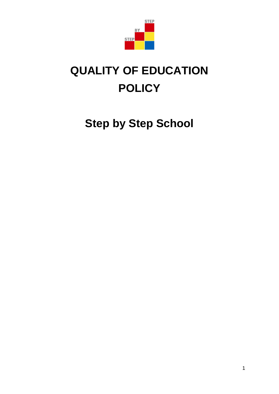

# **QUALITY OF EDUCATION POLICY**

**Step by Step School**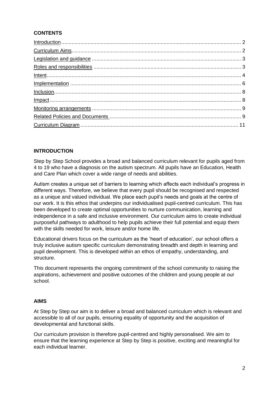# **CONTENTS**

| $Internet 4$  |  |
|---------------|--|
|               |  |
| $Inclusion 8$ |  |
|               |  |
|               |  |
|               |  |
|               |  |

## **INTRODUCTION**

Step by Step School provides a broad and balanced curriculum relevant for pupils aged from 4 to 19 who have a diagnosis on the autism spectrum. All pupils have an Education, Health and Care Plan which cover a wide range of needs and abilities.

Autism creates a unique set of barriers to learning which affects each individual's progress in different ways. Therefore, we believe that every pupil should be recognised and respected as a unique and valued individual. We place each pupil's needs and goals at the centre of our work. It is this ethos that underpins our individualised pupil-centred curriculum. This has been developed to create optimal opportunities to nurture communication, learning and independence in a safe and inclusive environment. Our curriculum aims to create individual purposeful pathways to adulthood to help pupils achieve their full potential and equip them with the skills needed for work, leisure and/or home life.

Educational drivers focus on the curriculum as the 'heart of education', our school offers a truly inclusive autism specific curriculum demonstrating breadth and depth in learning and pupil development. This is developed within an ethos of empathy, understanding, and structure.

This document represents the ongoing commitment of the school community to raising the aspirations, achievement and positive outcomes of the children and young people at our school.

#### **AIMS**

At Step by Step our aim is to deliver a broad and balanced curriculum which is relevant and accessible to all of our pupils, ensuring equality of opportunity and the acquisition of developmental and functional skills.

Our curriculum provision is therefore pupil-centred and highly personalised. We aim to ensure that the learning experience at Step by Step is positive, exciting and meaningful for each individual learner.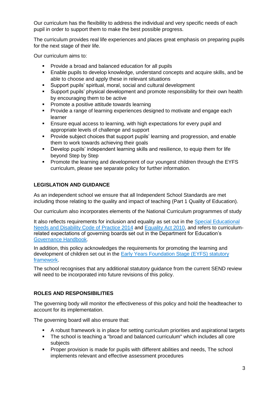Our curriculum has the flexibility to address the individual and very specific needs of each pupil in order to support them to make the best possible progress.

The curriculum provides real life experiences and places great emphasis on preparing pupils for the next stage of their life.

Our curriculum aims to:

- **Provide a broad and balanced education for all pupils**
- Enable pupils to develop knowledge, understand concepts and acquire skills, and be able to choose and apply these in relevant situations
- Support pupils' spiritual, moral, social and cultural development
- **Support pupils' physical development and promote responsibility for their own health** by encouraging them to be active
- **Promote a positive attitude towards learning**
- **Provide a range of learning experiences designed to motivate and engage each** learner
- Ensure equal access to learning, with high expectations for every pupil and appropriate levels of challenge and support
- **Provide subject choices that support pupils' learning and progression, and enable** them to work towards achieving their goals
- Develop pupils' independent learning skills and resilience, to equip them for life beyond Step by Step
- **Promote the learning and development of our youngest children through the EYFS** curriculum, please see separate policy for further information.

# **LEGISLATION AND GUIDANCE**

As an independent school we ensure that all Independent School Standards are met including those relating to the quality and impact of teaching (Part 1 Quality of Education).

Our curriculum also incorporates elements of the [National Curriculum programmes of study](https://www.gov.uk/government/collections/national-curriculum)

It also reflects requirements for inclusion and equality as set out in the [Special Educational](https://www.gov.uk/government/publications/send-code-of-practice-0-to-25)  [Needs and Disability Code of Practice 2014](https://www.gov.uk/government/publications/send-code-of-practice-0-to-25) and [Equality Act 2010,](http://www.legislation.gov.uk/ukpga/2010/15/part/6/chapter/1) and refers to curriculumrelated expectations of governing boards set out in the Department for Education's [Governance Handbook](https://www.gov.uk/government/publications/governance-handbook).

In addition, this policy acknowledges the requirements for promoting the learning and development of children set out in the [Early Years Foundation Stage \(EYFS\) statutory](https://www.gov.uk/government/publications/early-years-foundation-stage-framework--2)  [framework.](https://www.gov.uk/government/publications/early-years-foundation-stage-framework--2)

The school recognises that any additional statutory guidance from the current SEND review will need to be incorporated into future revisions of this policy.

## **ROLES AND RESPONSIBILITIES**

The governing body will monitor the effectiveness of this policy and hold the headteacher to account for its implementation.

The governing board will also ensure that:

- A robust framework is in place for setting curriculum priorities and aspirational targets
- The school is teaching a "broad and balanced curriculum" which includes all core subjects
- **Proper provision is made for pupils with different abilities and needs, The school** implements relevant and effective assessment procedures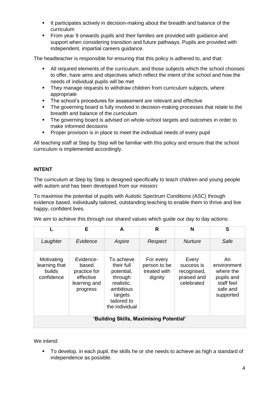- It participates actively in decision-making about the breadth and balance of the curriculum
- From year 9 onwards pupils and their families are provided with guidance and support when considering transition and future pathways. Pupils are provided with independent, impartial careers guidance.

The headteacher is responsible for ensuring that this policy is adhered to, and that:

- All required elements of the curriculum, and those subjects which the school chooses to offer, have aims and objectives which reflect the intent of the school and how the needs of individual pupils will be met
- They manage requests to withdraw children from curriculum subjects, where appropriate
- The school's procedures for assessment are relevant and effective
- The governing board is fully involved in decision-making processes that relate to the breadth and balance of the curriculum
- The governing board is advised on whole-school targets and outcomes in order to make informed decisions
- **Proper provision is in place to meet the individual needs of every pupil**

All teaching staff at Step by Step will be familiar with this policy and ensure that the school curriculum is implemented accordingly.

#### **INTENT**

The curriculum at Step by Step is designed specifically to teach children and young people with autism and has been developed from our mission:

To maximise the potential of pupils with Autistic Spectrum Conditions (ASC) through evidence based, individually tailored, outstanding teaching to enable them to thrive and live happy, confident lives.

We aim to achieve this through our shared values which guide our day to day actions:

|                                                     | Е                                                                           | A                                                                                                                        | R                                                    | N                                                               | S                                                                                   |  |
|-----------------------------------------------------|-----------------------------------------------------------------------------|--------------------------------------------------------------------------------------------------------------------------|------------------------------------------------------|-----------------------------------------------------------------|-------------------------------------------------------------------------------------|--|
| Laughter                                            | Evidence                                                                    | Aspire                                                                                                                   | Respect                                              | <b>Nurture</b>                                                  | Safe                                                                                |  |
| Motivating<br>learning that<br>builds<br>confidence | Evidence-<br>based<br>practice for<br>effective<br>learning and<br>progress | To achieve<br>their full<br>potential,<br>through<br>realistic,<br>ambitious<br>targets<br>tailored to<br>the individual | For every<br>person to be<br>treated with<br>dignity | Every<br>success is<br>recognised,<br>praised and<br>celebrated | An<br>environment<br>where the<br>pupils and<br>staff feel<br>safe and<br>supported |  |
| 'Building Skills, Maximising Potential'             |                                                                             |                                                                                                                          |                                                      |                                                                 |                                                                                     |  |

We intend:

 To develop, in each pupil, the skills he or she needs to achieve as high a standard of independence as possible.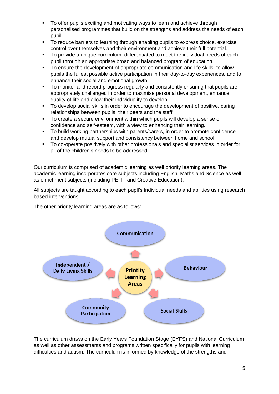- To offer pupils exciting and motivating ways to learn and achieve through personalised programmes that build on the strengths and address the needs of each pupil.
- To reduce barriers to learning through enabling pupils to express choice, exercise control over themselves and their environment and achieve their full potential.
- To provide a unique curriculum; differentiated to meet the individual needs of each pupil through an appropriate broad and balanced program of education.
- To ensure the development of appropriate communication and life skills, to allow pupils the fullest possible active participation in their day-to-day experiences, and to enhance their social and emotional growth.
- To monitor and record progress regularly and consistently ensuring that pupils are appropriately challenged in order to maximise personal development, enhance quality of life and allow their individuality to develop.
- To develop social skills in order to encourage the development of positive, caring relationships between pupils, their peers and the staff.
- To create a secure environment within which pupils will develop a sense of confidence and self-esteem, with a view to enhancing their learning.
- To build working partnerships with parents/carers, in order to promote confidence and develop mutual support and consistency between home and school.
- To co-operate positively with other professionals and specialist services in order for all of the children's needs to be addressed.

Our curriculum is comprised of academic learning as well priority learning areas. The academic learning incorporates core subjects including English, Maths and Science as well as enrichment subjects (including PE, IT and Creative Education).

All subjects are taught according to each pupil's individual needs and abilities using research based interventions.

The other priority learning areas are as follows:



The curriculum draws on the Early Years Foundation Stage (EYFS) and National Curriculum as well as other assessments and programs written specifically for pupils with learning difficulties and autism. The curriculum is informed by knowledge of the strengths and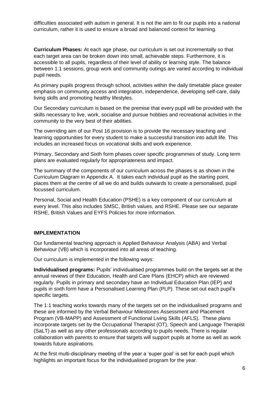difficulties associated with autism in general. It is not the aim to fit our pupils into a national curriculum, rather it is used to ensure a broad and balanced context for learning.

**Curriculum Phases:** At each age phase, our curriculum is set out incrementally so that each target area can be broken down into small, achievable steps. Furthermore, it is accessible to all pupils, regardless of their level of ability or learning style. The balance between 1:1 sessions, group work and community outings are varied according to individual pupil needs.

As primary pupils progress through school, activities within the daily timetable place greater emphasis on community access and integration, independence, developing self-care, daily living skills and promoting healthy lifestyles.

Our Secondary curriculum is based on the premise that every pupil will be provided with the skills necessary to live, work, socialise and pursue hobbies and recreational activities in the community to the very best of their abilities.

The overriding aim of our Post 16 provision is to provide the necessary teaching and learning opportunities for every student to make a successful transition into adult life. This includes an increased focus on vocational skills and work experience.

Primary, Secondary and Sixth form phases cover specific programmes of study. Long term plans are evaluated regularly for appropriateness and impact.

The summary of the components of our curriculum across the phases is as shown in the Curriculum Diagram in Appendix A. It takes each individual pupil as the starting point, places them at the centre of all we do and builds outwards to create a personalised, pupil focussed curriculum.

Personal, Social and Health Education (PSHE) is a key component of our curriculum at every level. This also includes SMSC, British values, and RSHE. Please see our separate RSHE, British Values and EYFS Policies for more information.

#### **IMPLEMENTATION**

Our fundamental teaching approach is Applied Behaviour Analysis (ABA) and Verbal Behaviour (VB) which is incorporated into all areas of teaching.

Our curriculum is implemented in the following ways:

**Individualised programs:** Pupils' individualised programmes build on the targets set at the annual reviews of their Education, Health and Care Plans (EHCP) which are reviewed regularly. Pupils in primary and secondary have an Individual Education Plan (IEP) and pupils in sixth form have a Personalised Learning Plan (PLP). These set out each pupil's specific targets.

The 1:1 teaching works towards many of the targets set on the individualised programs and these are informed by the Verbal Behaviour Milestones Assessment and Placement Program (VB-MAPP) and Assessment of Functional Living Skills (AFLS). These plans incorporate targets set by the Occupational Therapist (OT), Speech and Language Therapist (SaLT) as well as any other professionals according to pupils needs. There is regular collaboration with parents to ensure that targets will support pupils at home as well as work towards future aspirations.

At the first multi-disciplinary meeting of the year a 'super goal' is set for each pupil which highlights an important focus for the individualised program for the year.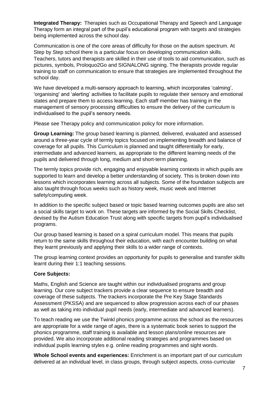**Integrated Therapy:** Therapies such as Occupational Therapy and Speech and Language Therapy form an integral part of the pupil's educational program with targets and strategies being implemented across the school day.

Communication is one of the core areas of difficulty for those on the autism spectrum. At Step by Step school there is a particular focus on developing communication skills. Teachers, tutors and therapists are skilled in their use of tools to aid communication, such as pictures, symbols, Proloquo2Go and SIGNALONG signing. The therapists provide regular training to staff on communication to ensure that strategies are implemented throughout the school day.

We have developed a multi-sensory approach to learning, which incorporates 'calming', 'organising' and 'alerting' activities to facilitate pupils to regulate their sensory and emotional states and prepare them to access learning. Each staff member has training in the management of sensory processing difficulties to ensure the delivery of the curriculum is individualised to the pupil's sensory needs.

Please see Therapy policy and communication policy for more information.

**Group Learning:** The group based learning is planned, delivered, evaluated and assessed around a three-year cycle of termly topics focused on implementing breadth and balance of coverage for all pupils. This Curriculum is planned and taught differentially for early, intermediate and advanced learners, as appropriate to the different learning needs of the pupils and delivered through long, medium and short-term planning.

The termly topics provide rich, engaging and enjoyable learning contexts in which pupils are supported to learn and develop a better understanding of society. This is broken down into lessons which incorporates learning across all subjects. Some of the foundation subjects are also taught through focus weeks such as history week, music week and Internet safety/computing week.

In addition to the specific subject based or topic based learning outcomes pupils are also set a social skills target to work on. These targets are informed by the Social Skills Checklist, devised by the Autism Education Trust along with specific targets from pupil's individualised programs.

Our group based learning is based on a spiral curriculum model. This means that pupils return to the same skills throughout their education, with each encounter building on what they learnt previously and applying their skills to a wider range of contexts.

The group learning context provides an opportunity for pupils to generalise and transfer skills learnt during their 1:1 teaching sessions.

#### **Core Subjects:**

Maths, English and Science are taught within our individualised programs and group learning. Our core subject trackers provide a clear sequence to ensure breadth and coverage of these subjects. The trackers incorporate the Pre Key Stage Standards Assessment (PKSSA) and are sequenced to allow progression across each of our phases as well as taking into individual pupil needs (early, intermediate and advanced learners).

To teach reading we use the Twinkl phonics programme across the school as the resources are appropriate for a wide range of ages, there is a systematic book series to support the phonics programme, staff training is available and lesson plans/online resources are provided. We also incorporate additional reading strategies and programmes based on individual pupils learning styles e.g. online reading programmes and sight words.

**Whole School events and experiences:** Enrichment is an important part of our curriculum delivered at an individual level, in class groups, through subject aspects, cross-curricular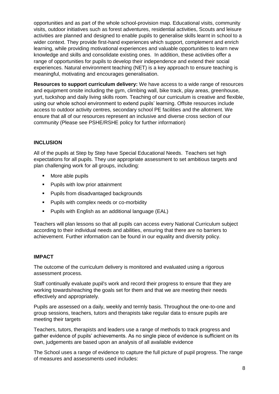opportunities and as part of the whole school-provision map. Educational visits, community visits, outdoor initiatives such as forest adventures, residential activities, Scouts and leisure activities are planned and designed to enable pupils to generalise skills learnt in school to a wider context. They provide first-hand experiences which support, complement and enrich learning, while providing motivational experiences and valuable opportunities to learn new knowledge and skills and consolidate existing ones. In addition, these activities offer a range of opportunities for pupils to develop their independence and extend their social experiences. Natural environment teaching (NET) is a key approach to ensure teaching is meaningful, motivating and encourages generalisation.

**Resources to support curriculum delivery:** We have access to a wide range of resources and equipment onsite including the gym, climbing wall, bike track, play areas, greenhouse, yurt, tuckshop and daily living skills room. Teaching of our curriculum is creative and flexible, using our whole school environment to extend pupils' learning. Offsite resources include access to outdoor activity centres, secondary school PE facilities and the allotment. We ensure that all of our resources represent an inclusive and diverse cross section of our community (Please see PSHE/RSHE policy for further information)

#### **INCLUSION**

All of the pupils at Step by Step have Special Educational Needs. Teachers set high expectations for all pupils. They use appropriate assessment to set ambitious targets and plan challenging work for all groups, including:

- More able pupils
- **Pupils with low prior attainment**
- **Pupils from disadvantaged backgrounds**
- **Pupils with complex needs or co-morbidity**
- Pupils with English as an additional language (EAL)

Teachers will plan lessons so that all pupils can access every National Curriculum subject according to their individual needs and abilities, ensuring that there are no barriers to achievement. Further information can be found in our equality and diversity policy.

#### **IMPACT**

The outcome of the curriculum delivery is monitored and evaluated using a rigorous assessment process.

Staff continually evaluate pupil's work and record their progress to ensure that they are working towards/reaching the goals set for them and that we are meeting their needs effectively and appropriately.

Pupils are assessed on a daily, weekly and termly basis. Throughout the one-to-one and group sessions, teachers, tutors and therapists take regular data to ensure pupils are meeting their targets

Teachers, tutors, therapists and leaders use a range of methods to track progress and gather evidence of pupils' achievements. As no single piece of evidence is sufficient on its own, judgements are based upon an analysis of all available evidence

The School uses a range of evidence to capture the full picture of pupil progress. The range of measures and assessments used includes: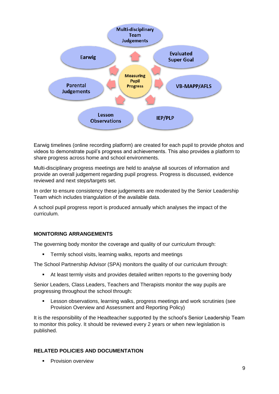

Earwig timelines (online recording platform) are created for each pupil to provide photos and videos to demonstrate pupil's progress and achievements. This also provides a platform to share progress across home and school environments.

Multi-disciplinary progress meetings are held to analyse all sources of information and provide an overall judgement regarding pupil progress. Progress is discussed, evidence reviewed and next steps/targets set.

In order to ensure consistency these judgements are moderated by the Senior Leadership Team which includes triangulation of the available data.

A school pupil progress report is produced annually which analyses the impact of the curriculum.

## **MONITORING ARRANGEMENTS**

The governing body monitor the coverage and quality of our curriculum through:

**Termly school visits, learning walks, reports and meetings** 

The School Partnership Advisor (SPA) monitors the quality of our curriculum through:

At least termly visits and provides detailed written reports to the governing body

Senior Leaders, Class Leaders, Teachers and Therapists monitor the way pupils are progressing throughout the school through:

 Lesson observations, learning walks, progress meetings and work scrutinies (see Provision Overview and Assessment and Reporting Policy)

It is the responsibility of the Headteacher supported by the school's Senior Leadership Team to monitor this policy. It should be reviewed every 2 years or when new legislation is published.

#### **RELATED POLICIES AND DOCUMENTATION**

**Provision overview**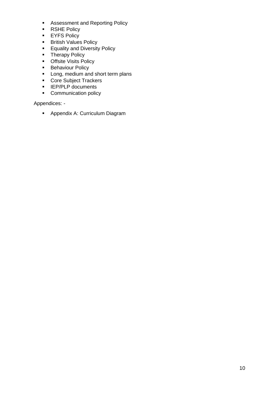- **Assessment and Reporting Policy**
- **RSHE Policy**
- **EYFS Policy**
- **British Values Policy**
- **Equality and Diversity Policy**
- **F** Therapy Policy
- **•** Offsite Visits Policy
- **Behaviour Policy**
- Long, medium and short term plans
- Core Subject Trackers
- $I = IEP/PLP$  documents
- Communication policy

Appendices: -

**Appendix A: Curriculum Diagram**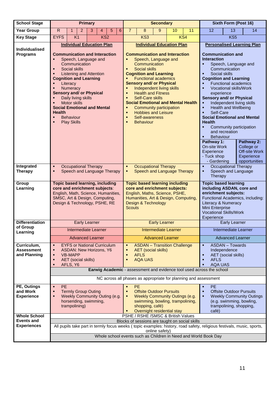| <b>School Stage</b>                              | <b>Primary</b>                                                                                                                                                                                                                                               |                                                                                                                                                                                                                                                                                                                                                                                         | <b>Secondary</b>                                                              |                             |   | Sixth Form (Post 16)                                                                                                                                                                                                                                                                                                                                                                                      |                                                                                                                                                                                                                                                                                                                                                                                                                                                                               |                      |    |                                                                       |                                                                                                                               |                                                                                                                                                                                                                                                                                                                         |                                                                                                                                                                                                             |
|--------------------------------------------------|--------------------------------------------------------------------------------------------------------------------------------------------------------------------------------------------------------------------------------------------------------------|-----------------------------------------------------------------------------------------------------------------------------------------------------------------------------------------------------------------------------------------------------------------------------------------------------------------------------------------------------------------------------------------|-------------------------------------------------------------------------------|-----------------------------|---|-----------------------------------------------------------------------------------------------------------------------------------------------------------------------------------------------------------------------------------------------------------------------------------------------------------------------------------------------------------------------------------------------------------|-------------------------------------------------------------------------------------------------------------------------------------------------------------------------------------------------------------------------------------------------------------------------------------------------------------------------------------------------------------------------------------------------------------------------------------------------------------------------------|----------------------|----|-----------------------------------------------------------------------|-------------------------------------------------------------------------------------------------------------------------------|-------------------------------------------------------------------------------------------------------------------------------------------------------------------------------------------------------------------------------------------------------------------------------------------------------------------------|-------------------------------------------------------------------------------------------------------------------------------------------------------------------------------------------------------------|
| <b>Year Group</b>                                | ${\sf R}$                                                                                                                                                                                                                                                    | 2<br>$\mathbf 1$                                                                                                                                                                                                                                                                                                                                                                        | 3                                                                             | 5<br>4                      | 6 | $\overline{7}$                                                                                                                                                                                                                                                                                                                                                                                            | 8                                                                                                                                                                                                                                                                                                                                                                                                                                                                             | 9                    | 10 | 11                                                                    | 12                                                                                                                            | 13                                                                                                                                                                                                                                                                                                                      | 14                                                                                                                                                                                                          |
| <b>Key Stage</b>                                 | <b>EYFS</b>                                                                                                                                                                                                                                                  | K <sub>1</sub>                                                                                                                                                                                                                                                                                                                                                                          |                                                                               | KS <sub>2</sub>             |   |                                                                                                                                                                                                                                                                                                                                                                                                           | KS3                                                                                                                                                                                                                                                                                                                                                                                                                                                                           |                      |    | KS4                                                                   |                                                                                                                               | KS <sub>5</sub>                                                                                                                                                                                                                                                                                                         |                                                                                                                                                                                                             |
| <b>Individualised</b><br><b>Programs</b>         | п<br>×.<br>٠<br>٠<br>٠<br>$\blacksquare$<br>٠<br><b>Health</b><br>×.<br>×.                                                                                                                                                                                   | <b>Individual Education Plan</b><br><b>Communication and Interaction</b><br>Speech, Language and<br>Communication<br>Social skills<br><b>Listening and Attention</b><br><b>Cognition and Learning</b><br>Literacy<br>Numeracy<br><b>Sensory and/ or Physical</b><br>Daily living skills<br>Motor skills<br><b>Social Emotional and Mental</b><br><b>Behaviour</b><br><b>Play Skills</b> |                                                                               |                             |   | П<br>п<br>٠<br>П<br>п<br>П<br>П<br>п<br>п                                                                                                                                                                                                                                                                                                                                                                 | <b>Individual Education Plan</b><br><b>Communication and Interaction</b><br>Speech, Language and<br>Communication<br><b>Social skills</b><br><b>Cognition and Learning</b><br><b>Functional academics</b><br><b>Sensory and/ or Physical</b><br>Independent living skills<br><b>Health and Fitness</b><br><b>Self-Care skills</b><br><b>Social Emotional and Mental Health</b><br>Community participation<br><b>Hobbies and Leisure</b><br>Self-awareness<br><b>Behaviour</b> |                      |    |                                                                       | <b>Interaction</b><br>٠<br>٠<br>٠<br>×,<br>٠<br><b>Health</b><br>٠<br>Pathway 1:<br>On-site Work<br>Experience<br>- Tuck shop | <b>Communication and</b><br>Speech, Language and<br>Communication<br>Social skills<br><b>Cognition and Learning</b><br><b>Functional academics</b><br>Vocational skills/Work<br>experience<br><b>Sensory and/ or Physical</b><br><b>Health and Wellbeing</b><br>Self-Care<br>and recreation<br>Behaviour<br>- Gardening | <b>Personalised Learning Plan</b><br>Independent living skills<br><b>Social Emotional and Mental</b><br>Community participation<br>Pathway 2:<br>College or<br>Off-site Work<br>Experience<br>opportunities |
| Integrated<br><b>Therapy</b>                     | ٠<br>п                                                                                                                                                                                                                                                       | <b>Occupational Therapy</b><br>Speech and Language Therapy                                                                                                                                                                                                                                                                                                                              |                                                                               |                             |   | <b>Occupational Therapy</b><br><b>Occupational Therapy</b><br>٠<br>$\blacksquare$<br>Speech and Language<br>Speech and Language Therapy<br>٠<br>п<br>Therapy                                                                                                                                                                                                                                              |                                                                                                                                                                                                                                                                                                                                                                                                                                                                               |                      |    |                                                                       |                                                                                                                               |                                                                                                                                                                                                                                                                                                                         |                                                                                                                                                                                                             |
| Group<br>Learning                                |                                                                                                                                                                                                                                                              | <b>Topic based learning, including</b><br>core and enrichment subjects:<br>English, Math, Science, Humanities,<br>SMSC, Art & Design, Computing,<br>Design & Technology, PSHE, RE                                                                                                                                                                                                       |                                                                               |                             |   | <b>Topic based learning including</b><br><b>Topic based learning</b><br>core and enrichment subjects:<br>including ASDAN, core and<br>enrichment subjects:<br>English, Maths, Science, PSHE,<br>Humanities, Art & Design, Computing,<br>Functional Academics, including:<br>Design & Technology<br>Literacy & Numeracy<br>Mini Enterprise<br><b>Scouts</b><br><b>Vocational Skills/Work</b><br>Experience |                                                                                                                                                                                                                                                                                                                                                                                                                                                                               |                      |    |                                                                       |                                                                                                                               |                                                                                                                                                                                                                                                                                                                         |                                                                                                                                                                                                             |
| <b>Differentiation</b>                           |                                                                                                                                                                                                                                                              | <b>Early Learner</b>                                                                                                                                                                                                                                                                                                                                                                    |                                                                               |                             |   |                                                                                                                                                                                                                                                                                                                                                                                                           |                                                                                                                                                                                                                                                                                                                                                                                                                                                                               | <b>Early Learner</b> |    |                                                                       |                                                                                                                               | <b>Early Learner</b>                                                                                                                                                                                                                                                                                                    |                                                                                                                                                                                                             |
| of Group<br>Learning                             |                                                                                                                                                                                                                                                              | <b>Intermediate Learner</b>                                                                                                                                                                                                                                                                                                                                                             |                                                                               | <b>Intermediate Learner</b> |   |                                                                                                                                                                                                                                                                                                                                                                                                           |                                                                                                                                                                                                                                                                                                                                                                                                                                                                               |                      |    |                                                                       | Intermediate Learner                                                                                                          |                                                                                                                                                                                                                                                                                                                         |                                                                                                                                                                                                             |
|                                                  |                                                                                                                                                                                                                                                              |                                                                                                                                                                                                                                                                                                                                                                                         | <b>Advanced Learner</b><br><b>Advanced Learner</b><br><b>Advanced Learner</b> |                             |   |                                                                                                                                                                                                                                                                                                                                                                                                           |                                                                                                                                                                                                                                                                                                                                                                                                                                                                               |                      |    |                                                                       |                                                                                                                               |                                                                                                                                                                                                                                                                                                                         |                                                                                                                                                                                                             |
| Curriculum,<br><b>Assessment</b><br>and Planning | ٠<br>٠<br>٠<br>×.<br>$\blacksquare$                                                                                                                                                                                                                          | <b>EYFS or National Curriculum</b><br><b>ASDAN: New Horizons, Y6</b><br><b>VB-MAPP</b><br><b>AET</b> (social skills)<br>AFLS, Y6                                                                                                                                                                                                                                                        |                                                                               |                             |   | ٠<br>٠<br>п<br>п                                                                                                                                                                                                                                                                                                                                                                                          | <b>ASDAN - Transition Challenge</b><br><b>AET</b> (social skills)<br><b>AFLS</b><br><b>AQA UAS</b>                                                                                                                                                                                                                                                                                                                                                                            |                      |    |                                                                       | ٠<br>٠<br><b>AFLS</b><br>٠                                                                                                    | <b>ASDAN - Towards</b><br>Independence<br><b>AET</b> (social skills)<br><b>AQA UAS</b>                                                                                                                                                                                                                                  |                                                                                                                                                                                                             |
|                                                  |                                                                                                                                                                                                                                                              |                                                                                                                                                                                                                                                                                                                                                                                         |                                                                               |                             |   |                                                                                                                                                                                                                                                                                                                                                                                                           |                                                                                                                                                                                                                                                                                                                                                                                                                                                                               |                      |    | Earwig Academic - assessment and evidence tool used across the school |                                                                                                                               |                                                                                                                                                                                                                                                                                                                         |                                                                                                                                                                                                             |
|                                                  | NC across all phases as appropriate for planning and assessment                                                                                                                                                                                              |                                                                                                                                                                                                                                                                                                                                                                                         |                                                                               |                             |   |                                                                                                                                                                                                                                                                                                                                                                                                           |                                                                                                                                                                                                                                                                                                                                                                                                                                                                               |                      |    |                                                                       |                                                                                                                               |                                                                                                                                                                                                                                                                                                                         |                                                                                                                                                                                                             |
| PE, Outings<br>and Work<br><b>Experience</b>     | <b>PE</b><br>٠<br>٠<br>٠                                                                                                                                                                                                                                     | <b>Termly Group Outing</b><br>Weekly Community Outing (e.g.<br>horseriding, swimming,<br>trampolining)                                                                                                                                                                                                                                                                                  |                                                                               |                             |   | ٠<br>п<br>п                                                                                                                                                                                                                                                                                                                                                                                               | <b>PE</b><br><b>Offsite Outdoor Pursuits</b><br>Weekly Community Outings (e.g.<br>swimming, bowling, trampolining,<br>shopping, café)<br>Overnight residential stay                                                                                                                                                                                                                                                                                                           |                      |    |                                                                       | <b>PE</b><br>٠<br>٠<br>٠<br>café)                                                                                             | trampolining, shopping,                                                                                                                                                                                                                                                                                                 | <b>Offsite Outdoor Pursuits</b><br><b>Weekly Community Outings</b><br>(e.g. swimming, bowling,                                                                                                              |
| <b>Whole School</b><br><b>Events and</b>         |                                                                                                                                                                                                                                                              |                                                                                                                                                                                                                                                                                                                                                                                         |                                                                               |                             |   |                                                                                                                                                                                                                                                                                                                                                                                                           | PSHE / RSHE / SMSC & British Values                                                                                                                                                                                                                                                                                                                                                                                                                                           |                      |    |                                                                       |                                                                                                                               |                                                                                                                                                                                                                                                                                                                         |                                                                                                                                                                                                             |
| <b>Experiences</b>                               | Blocks of sessions are taught on social skills<br>All pupils take part in termly focus weeks (topic examples: history, road safety, religious festivals, music, sports,<br>online safety)<br>Whole school events such as Children in Need and World Book Day |                                                                                                                                                                                                                                                                                                                                                                                         |                                                                               |                             |   |                                                                                                                                                                                                                                                                                                                                                                                                           |                                                                                                                                                                                                                                                                                                                                                                                                                                                                               |                      |    |                                                                       |                                                                                                                               |                                                                                                                                                                                                                                                                                                                         |                                                                                                                                                                                                             |